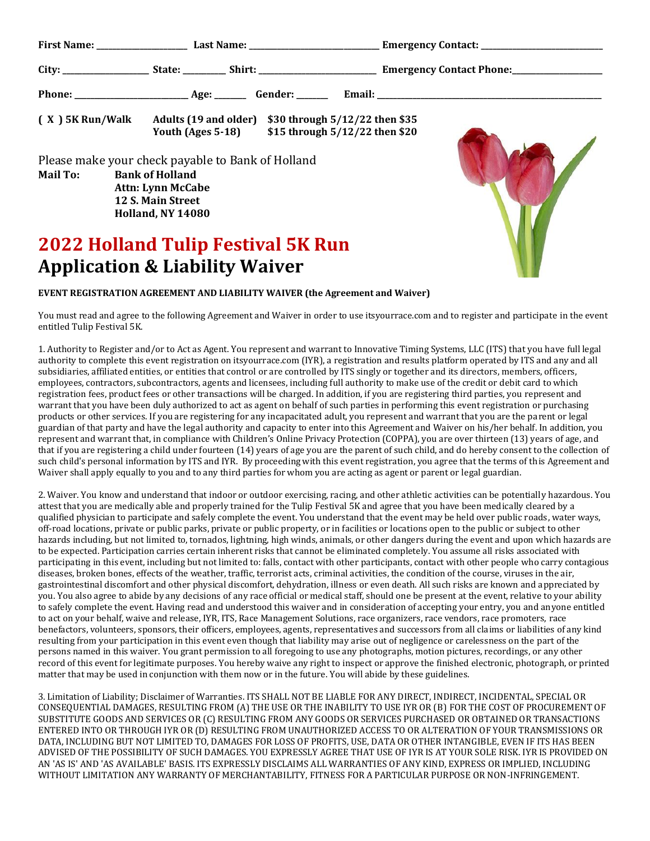| $(X)$ 5K Run/Walk | Adults (19 and older) \$30 through 5/12/22 then \$35<br>Youth (Ages 5-18)                                                                                | \$15 through 5/12/22 then \$20 |  |
|-------------------|----------------------------------------------------------------------------------------------------------------------------------------------------------|--------------------------------|--|
| <b>Mail To:</b>   | Please make your check payable to Bank of Holland<br><b>Bank of Holland</b><br><b>Attn: Lynn McCabe</b><br>12 S. Main Street<br><b>Holland, NY 14080</b> |                                |  |

## **2022 Holland Tulip Festival 5K Run Application & Liability Waiver**



## **EVENT REGISTRATION AGREEMENT AND LIABILITY WAIVER (the Agreement and Waiver)**

You must read and agree to the following Agreement and Waiver in order to use itsyourrace.com and to register and participate in the event entitled Tulip Festival 5K.

1. Authority to Register and/or to Act as Agent. You represent and warrant to Innovative Timing Systems, LLC (ITS) that you have full legal authority to complete this event registration on itsyourrace.com (IYR), a registration and results platform operated by ITS and any and all subsidiaries, affiliated entities, or entities that control or are controlled by ITS singly or together and its directors, members, officers, employees, contractors, subcontractors, agents and licensees, including full authority to make use of the credit or debit card to which registration fees, product fees or other transactions will be charged. In addition, if you are registering third parties, you represent and warrant that you have been duly authorized to act as agent on behalf of such parties in performing this event registration or purchasing products or other services. If you are registering for any incapacitated adult, you represent and warrant that you are the parent or legal guardian of that party and have the legal authority and capacity to enter into this Agreement and Waiver on his/her behalf. In addition, you represent and warrant that, in compliance with Children's Online Privacy Protection (COPPA), you are over thirteen (13) years of age, and that if you are registering a child under fourteen (14) years of age you are the parent of such child, and do hereby consent to the collection of such child's personal information by ITS and IYR. By proceeding with this event registration, you agree that the terms of this Agreement and Waiver shall apply equally to you and to any third parties for whom you are acting as agent or parent or legal guardian.

2. Waiver. You know and understand that indoor or outdoor exercising, racing, and other athletic activities can be potentially hazardous. You attest that you are medically able and properly trained for the Tulip Festival 5K and agree that you have been medically cleared by a qualified physician to participate and safely complete the event. You understand that the event may be held over public roads, water ways, off-road locations, private or public parks, private or public property, or in facilities or locations open to the public or subject to other hazards including, but not limited to, tornados, lightning, high winds, animals, or other dangers during the event and upon which hazards are to be expected. Participation carries certain inherent risks that cannot be eliminated completely. You assume all risks associated with participating in this event, including but not limited to: falls, contact with other participants, contact with other people who carry contagious diseases, broken bones, effects of the weather, traffic, terrorist acts, criminal activities, the condition of the course, viruses in the air, gastrointestinal discomfort and other physical discomfort, dehydration, illness or even death. All such risks are known and appreciated by you. You also agree to abide by any decisions of any race official or medical staff, should one be present at the event, relative to your ability to safely complete the event. Having read and understood this waiver and in consideration of accepting your entry, you and anyone entitled to act on your behalf, waive and release, IYR, ITS, Race Management Solutions, race organizers, race vendors, race promoters, race benefactors, volunteers, sponsors, their officers, employees, agents, representatives and successors from all claims or liabilities of any kind resulting from your participation in this event even though that liability may arise out of negligence or carelessness on the part of the persons named in this waiver. You grant permission to all foregoing to use any photographs, motion pictures, recordings, or any other record of this event for legitimate purposes. You hereby waive any right to inspect or approve the finished electronic, photograph, or printed matter that may be used in conjunction with them now or in the future. You will abide by these guidelines.

3. Limitation of Liability; Disclaimer of Warranties. ITS SHALL NOT BE LIABLE FOR ANY DIRECT, INDIRECT, INCIDENTAL, SPECIAL OR CONSEQUENTIAL DAMAGES, RESULTING FROM (A) THE USE OR THE INABILITY TO USE IYR OR (B) FOR THE COST OF PROCUREMENT OF SUBSTITUTE GOODS AND SERVICES OR (C) RESULTING FROM ANY GOODS OR SERVICES PURCHASED OR OBTAINED OR TRANSACTIONS ENTERED INTO OR THROUGH IYR OR (D) RESULTING FROM UNAUTHORIZED ACCESS TO OR ALTERATION OF YOUR TRANSMISSIONS OR DATA, INCLUDING BUT NOT LIMITED TO, DAMAGES FOR LOSS OF PROFITS, USE, DATA OR OTHER INTANGIBLE, EVEN IF ITS HAS BEEN ADVISED OF THE POSSIBILITY OF SUCH DAMAGES. YOU EXPRESSLY AGREE THAT USE OF IYR IS AT YOUR SOLE RISK. IYR IS PROVIDED ON AN 'AS IS' AND 'AS AVAILABLE' BASIS. ITS EXPRESSLY DISCLAIMS ALL WARRANTIES OF ANY KIND, EXPRESS OR IMPLIED, INCLUDING WITHOUT LIMITATION ANY WARRANTY OF MERCHANTABILITY, FITNESS FOR A PARTICULAR PURPOSE OR NON-INFRINGEMENT.